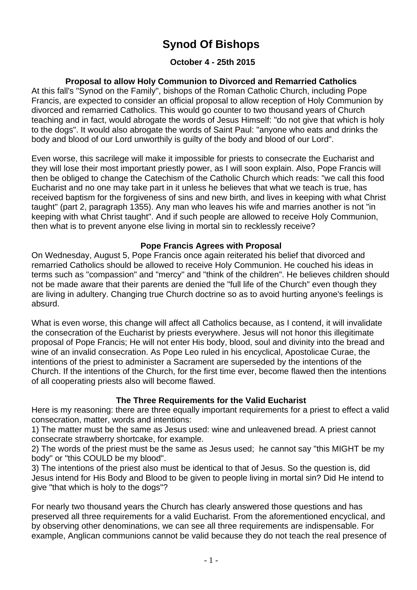# **Synod Of Bishops**

# **October 4 - 25th 2015**

# **Proposal to allow Holy Communion to Divorced and Remarried Catholics**

At this fall's "Synod on the Family", bishops of the Roman Catholic Church, including Pope Francis, are expected to consider an official proposal to allow reception of Holy Communion by divorced and remarried Catholics. This would go counter to two thousand years of Church teaching and in fact, would abrogate the words of Jesus Himself: "do not give that which is holy to the dogs". It would also abrogate the words of Saint Paul: "anyone who eats and drinks the body and blood of our Lord unworthily is guilty of the body and blood of our Lord".

Even worse, this sacrilege will make it impossible for priests to consecrate the Eucharist and they will lose their most important priestly power, as I will soon explain. Also, Pope Francis will then be obliged to change the Catechism of the Catholic Church which reads: "we call this food Eucharist and no one may take part in it unless he believes that what we teach is true, has received baptism for the forgiveness of sins and new birth, and lives in keeping with what Christ taught" (part 2, paragraph 1355). Any man who leaves his wife and marries another is not "in keeping with what Christ taught". And if such people are allowed to receive Holy Communion, then what is to prevent anyone else living in mortal sin to recklessly receive?

### **Pope Francis Agrees with Proposal**

On Wednesday, August 5, Pope Francis once again reiterated his belief that divorced and remarried Catholics should be allowed to receive Holy Communion. He couched his ideas in terms such as "compassion" and "mercy" and "think of the children". He believes children should not be made aware that their parents are denied the "full life of the Church" even though they are living in adultery. Changing true Church doctrine so as to avoid hurting anyone's feelings is absurd.

What is even worse, this change will affect all Catholics because, as I contend, it will invalidate the consecration of the Eucharist by priests everywhere. Jesus will not honor this illegitimate proposal of Pope Francis; He will not enter His body, blood, soul and divinity into the bread and wine of an invalid consecration. As Pope Leo ruled in his encyclical, Apostolicae Curae, the intentions of the priest to administer a Sacrament are superseded by the intentions of the Church. If the intentions of the Church, for the first time ever, become flawed then the intentions of all cooperating priests also will become flawed.

### **The Three Requirements for the Valid Eucharist**

Here is my reasoning: there are three equally important requirements for a priest to effect a valid consecration, matter, words and intentions:

1) The matter must be the same as Jesus used: wine and unleavened bread. A priest cannot consecrate strawberry shortcake, for example.

2) The words of the priest must be the same as Jesus used; he cannot say "this MIGHT be my body" or "this COULD be my blood".

3) The intentions of the priest also must be identical to that of Jesus. So the question is, did Jesus intend for His Body and Blood to be given to people living in mortal sin? Did He intend to give "that which is holy to the dogs"?

For nearly two thousand years the Church has clearly answered those questions and has preserved all three requirements for a valid Eucharist. From the aforementioned encyclical, and by observing other denominations, we can see all three requirements are indispensable. For example, Anglican communions cannot be valid because they do not teach the real presence of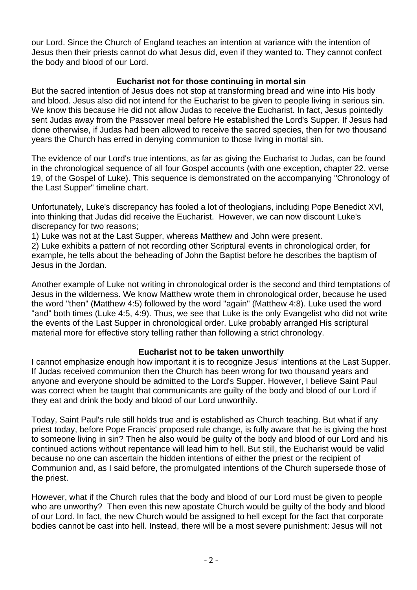our Lord. Since the Church of England teaches an intention at variance with the intention of Jesus then their priests cannot do what Jesus did, even if they wanted to. They cannot confect the body and blood of our Lord.

## **Eucharist not for those continuing in mortal sin**

But the sacred intention of Jesus does not stop at transforming bread and wine into His body and blood. Jesus also did not intend for the Eucharist to be given to people living in serious sin. We know this because He did not allow Judas to receive the Eucharist. In fact, Jesus pointedly sent Judas away from the Passover meal before He established the Lord's Supper. If Jesus had done otherwise, if Judas had been allowed to receive the sacred species, then for two thousand years the Church has erred in denying communion to those living in mortal sin.

The evidence of our Lord's true intentions, as far as giving the Eucharist to Judas, can be found in the chronological sequence of all four Gospel accounts (with one exception, chapter 22, verse 19, of the Gospel of Luke). This sequence is demonstrated on the accompanying "Chronology of the Last Supper" timeline chart.

Unfortunately, Luke's discrepancy has fooled a lot of theologians, including Pope Benedict XVl, into thinking that Judas did receive the Eucharist. However, we can now discount Luke's discrepancy for two reasons;

1) Luke was not at the Last Supper, whereas Matthew and John were present.

2) Luke exhibits a pattern of not recording other Scriptural events in chronological order, for example, he tells about the beheading of John the Baptist before he describes the baptism of Jesus in the Jordan.

Another example of Luke not writing in chronological order is the second and third temptations of Jesus in the wilderness. We know Matthew wrote them in chronological order, because he used the word "then" (Matthew 4:5) followed by the word "again" (Matthew 4:8). Luke used the word "and" both times (Luke 4:5, 4:9). Thus, we see that Luke is the only Evangelist who did not write the events of the Last Supper in chronological order. Luke probably arranged His scriptural material more for effective story telling rather than following a strict chronology.

### **Eucharist not to be taken unworthily**

I cannot emphasize enough how important it is to recognize Jesus' intentions at the Last Supper. If Judas received communion then the Church has been wrong for two thousand years and anyone and everyone should be admitted to the Lord's Supper. However, I believe Saint Paul was correct when he taught that communicants are guilty of the body and blood of our Lord if they eat and drink the body and blood of our Lord unworthily.

Today, Saint Paul's rule still holds true and is established as Church teaching. But what if any priest today, before Pope Francis' proposed rule change, is fully aware that he is giving the host to someone living in sin? Then he also would be guilty of the body and blood of our Lord and his continued actions without repentance will lead him to hell. But still, the Eucharist would be valid because no one can ascertain the hidden intentions of either the priest or the recipient of Communion and, as I said before, the promulgated intentions of the Church supersede those of the priest.

However, what if the Church rules that the body and blood of our Lord must be given to people who are unworthy? Then even this new apostate Church would be guilty of the body and blood of our Lord. In fact, the new Church would be assigned to hell except for the fact that corporate bodies cannot be cast into hell. Instead, there will be a most severe punishment: Jesus will not